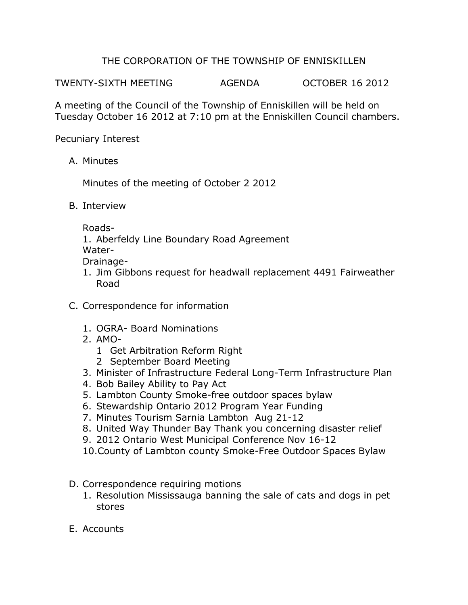## THE CORPORATION OF THE TOWNSHIP OF ENNISKILLEN

TWENTY-SIXTH MEETING AGENDA OCTOBER 16 2012

A meeting of the Council of the Township of Enniskillen will be held on Tuesday October 16 2012 at 7:10 pm at the Enniskillen Council chambers.

Pecuniary Interest

A. Minutes

Minutes of the meeting of October 2 2012

B. Interview

Roads-

1. Aberfeldy Line Boundary Road Agreement Water-

Drainage-

- 1. Jim Gibbons request for headwall replacement 4491 Fairweather Road
- C. Correspondence for information
	- 1. OGRA- Board Nominations
	- 2. AMO-
		- 1 Get Arbitration Reform Right
		- 2 September Board Meeting
	- 3. Minister of Infrastructure Federal Long-Term Infrastructure Plan
	- 4. Bob Bailey Ability to Pay Act
	- 5. Lambton County Smoke-free outdoor spaces bylaw
	- 6. Stewardship Ontario 2012 Program Year Funding
	- 7. Minutes Tourism Sarnia Lambton Aug 21-12
	- 8. United Way Thunder Bay Thank you concerning disaster relief
	- 9. 2012 Ontario West Municipal Conference Nov 16-12
	- 10.County of Lambton county Smoke-Free Outdoor Spaces Bylaw
- D. Correspondence requiring motions
	- 1. Resolution Mississauga banning the sale of cats and dogs in pet stores
- E. Accounts